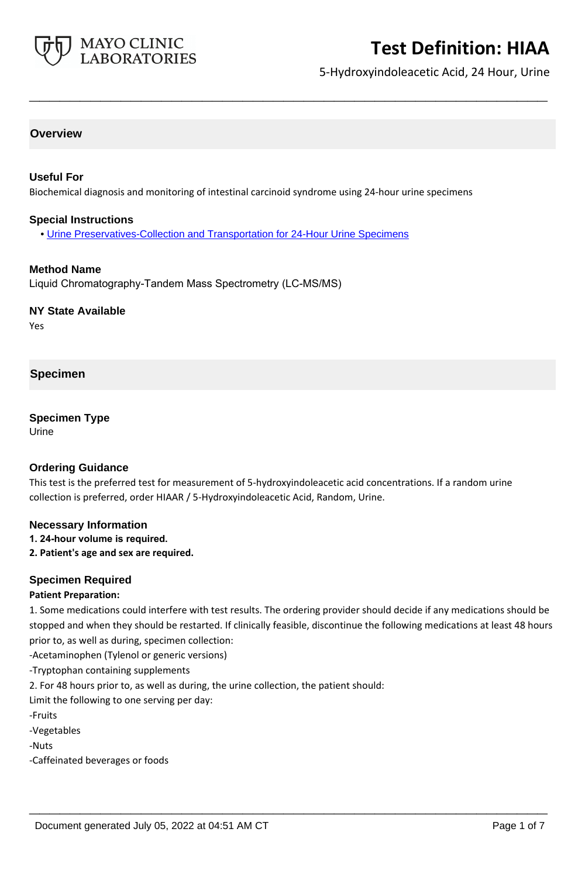

5-Hydroxyindoleacetic Acid, 24 Hour, Urine

## **Overview**

### **Useful For**

Biochemical diagnosis and monitoring of intestinal carcinoid syndrome using 24-hour urine specimens

**\_\_\_\_\_\_\_\_\_\_\_\_\_\_\_\_\_\_\_\_\_\_\_\_\_\_\_\_\_\_\_\_\_\_\_\_\_\_\_\_\_\_\_\_\_\_\_\_\_\_\_**

#### **Special Instructions**

• [Urine Preservatives-Collection and Transportation for 24-Hour Urine Specimens](http://www.mayocliniclabs.com/it-mmfiles/Urine_Preservatives-Collection_and_Transportation_for_24-Hour_Urine_Specimens.pdf)

### **Method Name**

Liquid Chromatography-Tandem Mass Spectrometry (LC-MS/MS)

### **NY State Available**

Yes

### **Specimen**

#### **Specimen Type**

Urine

#### **Ordering Guidance**

This test is the preferred test for measurement of 5-hydroxyindoleacetic acid concentrations. If a random urine collection is preferred, order HIAAR / 5-Hydroxyindoleacetic Acid, Random, Urine.

#### **Necessary Information**

## **1. 24-hour volume is required.**

**2. Patient's age and sex are required.**

#### **Specimen Required**

#### **Patient Preparation:**

1. Some medications could interfere with test results. The ordering provider should decide if any medications should be stopped and when they should be restarted. If clinically feasible, discontinue the following medications at least 48 hours prior to, as well as during, specimen collection:

**\_\_\_\_\_\_\_\_\_\_\_\_\_\_\_\_\_\_\_\_\_\_\_\_\_\_\_\_\_\_\_\_\_\_\_\_\_\_\_\_\_\_\_\_\_\_\_\_\_\_\_**

-Acetaminophen (Tylenol or generic versions)

-Tryptophan containing supplements

2. For 48 hours prior to, as well as during, the urine collection, the patient should:

Limit the following to one serving per day:

-Fruits

-Vegetables

-Nuts

-Caffeinated beverages or foods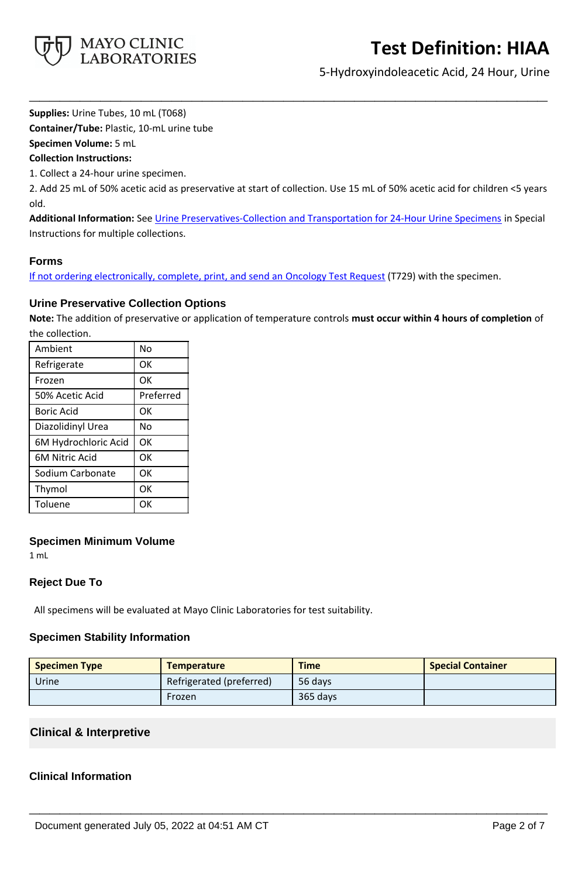

5-Hydroxyindoleacetic Acid, 24 Hour, Urine

**Supplies:** Urine Tubes, 10 mL (T068)

**Container/Tube:** Plastic, 10-mL urine tube

**Specimen Volume:** 5 mL

**Collection Instructions:**

1. Collect a 24-hour urine specimen.

2. Add 25 mL of 50% acetic acid as preservative at start of collection. Use 15 mL of 50% acetic acid for children <5 years old.

**\_\_\_\_\_\_\_\_\_\_\_\_\_\_\_\_\_\_\_\_\_\_\_\_\_\_\_\_\_\_\_\_\_\_\_\_\_\_\_\_\_\_\_\_\_\_\_\_\_\_\_**

**Additional Information:** See [Urine Preservatives-Collection and Transportation for 24-Hour Urine Specimens](https://www.mayocliniclabs.com/it-mmfiles/Urine_Preservatives-Collection_and_Transportation_for_24-Hour_Urine_Specimens.pdf) in Special Instructions for multiple collections.

## **Forms**

If not ordering electronically, complete, print, and send an [Oncology Test Request](https://www.mayocliniclabs.com/it-mmfiles/oncology-request-form.pdf) (T729) with the specimen.

## **Urine Preservative Collection Options**

**Note:** The addition of preservative or application of temperature controls **must occur within 4 hours of completion** of the collection.

| Ambient               | No        |
|-----------------------|-----------|
| Refrigerate           | ОK        |
| Frozen                | OK        |
| 50% Acetic Acid       | Preferred |
| <b>Boric Acid</b>     | OK        |
| Diazolidinyl Urea     | No        |
| 6M Hydrochloric Acid  | OK        |
| <b>6M Nitric Acid</b> | OK        |
| Sodium Carbonate      | OK        |
| Thymol                | OK        |
| Toluene               | OK        |

## **Specimen Minimum Volume**

1 mL

# **Reject Due To**

All specimens will be evaluated at Mayo Clinic Laboratories for test suitability.

## **Specimen Stability Information**

| <b>Specimen Type</b> | <b>Temperature</b>       | <b>Time</b> | <b>Special Container</b> |
|----------------------|--------------------------|-------------|--------------------------|
| Urine                | Refrigerated (preferred) | 56 davs     |                          |
|                      | Frozen                   | 365 days    |                          |

**\_\_\_\_\_\_\_\_\_\_\_\_\_\_\_\_\_\_\_\_\_\_\_\_\_\_\_\_\_\_\_\_\_\_\_\_\_\_\_\_\_\_\_\_\_\_\_\_\_\_\_**

# **Clinical & Interpretive**

## **Clinical Information**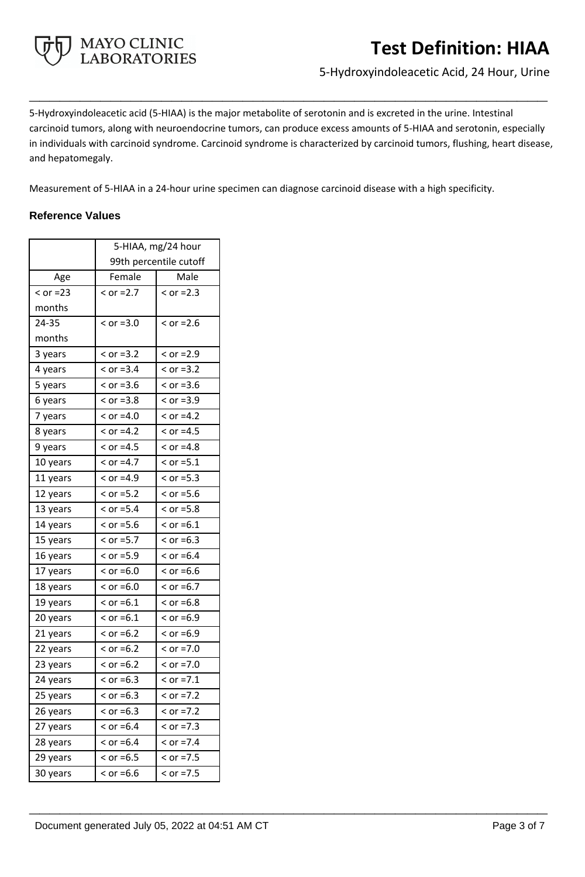

5-Hydroxyindoleacetic Acid, 24 Hour, Urine

5-Hydroxyindoleacetic acid (5-HIAA) is the major metabolite of serotonin and is excreted in the urine. Intestinal carcinoid tumors, along with neuroendocrine tumors, can produce excess amounts of 5-HIAA and serotonin, especially in individuals with carcinoid syndrome. Carcinoid syndrome is characterized by carcinoid tumors, flushing, heart disease, and hepatomegaly.

**\_\_\_\_\_\_\_\_\_\_\_\_\_\_\_\_\_\_\_\_\_\_\_\_\_\_\_\_\_\_\_\_\_\_\_\_\_\_\_\_\_\_\_\_\_\_\_\_\_\_\_**

**\_\_\_\_\_\_\_\_\_\_\_\_\_\_\_\_\_\_\_\_\_\_\_\_\_\_\_\_\_\_\_\_\_\_\_\_\_\_\_\_\_\_\_\_\_\_\_\_\_\_\_**

Measurement of 5-HIAA in a 24-hour urine specimen can diagnose carcinoid disease with a high specificity.

## **Reference Values**

|            | 5-HIAA, mg/24 hour     |              |
|------------|------------------------|--------------|
|            | 99th percentile cutoff |              |
| Age        | Female                 | Male         |
| $<$ or =23 | $<$ or =2.7            | $<$ or =2.3  |
| months     |                        |              |
| 24-35      | $<$ or =3.0            | $<$ or =2.6  |
| months     |                        |              |
| 3 years    | $< or = 3.2$           | $<$ or =2.9  |
| 4 years    | $< or = 3.4$           | $<$ or =3.2  |
| 5 years    | $<$ or =3.6            | $<$ or =3.6  |
| 6 years    | $<$ or =3.8            | $<$ or =3.9  |
| 7 years    | $<$ or =4.0            | $>$ or =4.2  |
| 8 years    | $<$ or =4.2            | $<$ or =4.5  |
| 9 years    | $<$ or =4.5            | $>$ or =4.8  |
| 10 years   | $<$ or =4.7            | $<$ or =5.1  |
| 11 years   | $<$ or =4.9            | $<$ or =5.3  |
| 12 years   | $< or = 5.2$           | $<$ or =5.6  |
| 13 years   | $< or = 5.4$           | $<$ or =5.8  |
| 14 years   | $<$ or =5.6            | $<$ or =6.1  |
| 15 years   | $<$ or =5.7            | $>$ or =6.3  |
| 16 years   | $>$ or =5.9            | $>$ or =6.4  |
| 17 years   | $<$ or =6.0            | $>$ or =6.6  |
| 18 years   | $>$ or =6.0            | $>$ or =6.7  |
| 19 years   | $<$ or =6.1            | $>$ or =6.8  |
| 20 years   | $<$ or =6.1            | $>$ or =6.9  |
| 21 years   | $>$ or =6.2            | $<$ or =6.9  |
| 22 years   | $>$ or =6.2            | $>$ or =7.0  |
| 23 years   | $>$ or =6.2            | $>$ or =7.0  |
| 24 years   | $>$ or =6.3            | $<$ or =7.1  |
| 25 years   | $>$ or =6.3            | $>$ or =7.2  |
| 26 years   | $>$ or =6.3            | $< or = 7.2$ |
| 27 years   | $>$ or =6.4            | $< or = 7.3$ |
| 28 years   | $>$ or =6.4            | $>$ or =7.4  |
| 29 years   | $>$ or =6.5            | $<$ or =7.5  |
| 30 years   | $>$ or =6.6            | $< or = 7.5$ |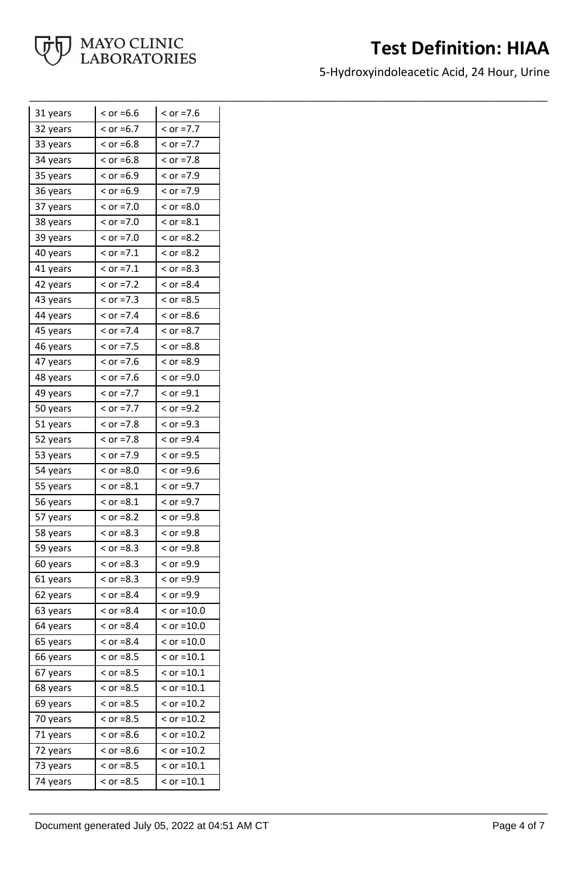

5-Hydroxyindoleacetic Acid, 24 Hour, Urine

**\_\_\_\_\_\_\_\_\_\_\_\_\_\_\_\_\_\_\_\_\_\_\_\_\_\_\_\_\_\_\_\_\_\_\_\_\_\_\_\_\_\_\_\_\_\_\_\_\_\_\_**

| 31 years | $>$ or =6.6  | $>$ or =7.6  |
|----------|--------------|--------------|
| 32 years | $>$ or =6.7  | $< or = 7.7$ |
| 33 years | $<$ or =6.8  | $<$ or =7.7  |
| 34 years | $<$ or =6.8  | $>$ or =7.8  |
| 35 years | $<$ or =6.9  | $<$ or =7.9  |
| 36 years | $<$ or =6.9  | $<$ or =7.9  |
| 37 years | $>$ or =7.0  | $<$ or =8.0  |
| 38 years | $>$ or =7.0  | $<$ or =8.1  |
| 39 years | $>$ or =7.0  | $<$ or =8.2  |
| 40 years | $<$ or =7.1  | $>$ or =8.2  |
| 41 years | $<$ or =7.1  | $<$ or =8.3  |
| 42 years | $<$ or =7.2  | $<$ or =8.4  |
| 43 years | $< or = 7.3$ | $<$ or =8.5  |
| 44 years | $<$ or =7.4  | $<$ or =8.6  |
| 45 years | $<$ or =7.4  | $<$ or =8.7  |
| 46 years | $<$ or =7.5  | $<$ or =8.8  |
| 47 years | $<$ or =7.6  | $<$ or =8.9  |
| 48 years | $<$ or =7.6  | $<$ or =9.0  |
| 49 years | $<$ or =7.7  | $<$ or =9.1  |
| 50 years | $< or = 7.7$ | $<$ or =9.2  |
| 51 years | $>$ or =7.8  | $<$ or =9.3  |
| 52 years | $>$ or =7.8  | $<$ or =9.4  |
| 53 years | $<$ or =7.9  | $<$ or =9.5  |
| 54 years | $<$ or =8.0  | $<$ or =9.6  |
| 55 years | $<$ or =8.1  | $<$ or =9.7  |
| 56 years | $<$ or =8.1  | $<$ or =9.7  |
| 57 years | $>$ or =8.2  | $<$ or =9.8  |
| 58 years | $<$ or =8.3  | $<$ or =9.8  |
| 59 years | $<$ or =8.3  | $<$ or =9.8  |
| 60 years | $<$ or =8.3  | $<$ or =9.9  |
| 61 years | $>$ or =8.3  | $<$ or =9.9  |
| 62 years | $<$ or =8.4  | $<$ or =9.9  |
| 63 years | $>$ or =8.4  | $<$ or =10.0 |
| 64 years | $>$ or =8.4  | $<$ or =10.0 |
| 65 years | $<$ or =8.4  | $<$ or =10.0 |
| 66 years | $<$ or =8.5  | $<$ or =10.1 |
| 67 years | $>$ or =8.5  | $<$ or =10.1 |
| 68 years | $<$ or =8.5  | $<$ or =10.1 |
| 69 years | $<$ or =8.5  | $<$ or =10.2 |
| 70 years | $>$ or =8.5  | $<$ or =10.2 |
| 71 years | $>$ or =8.6  | $<$ or =10.2 |
| 72 years | $<$ or =8.6  | $<$ or =10.2 |
| 73 years | $<$ or =8.5  | $<$ or =10.1 |
| 74 years | $<$ or =8.5  | $<$ or =10.1 |

**\_\_\_\_\_\_\_\_\_\_\_\_\_\_\_\_\_\_\_\_\_\_\_\_\_\_\_\_\_\_\_\_\_\_\_\_\_\_\_\_\_\_\_\_\_\_\_\_\_\_\_**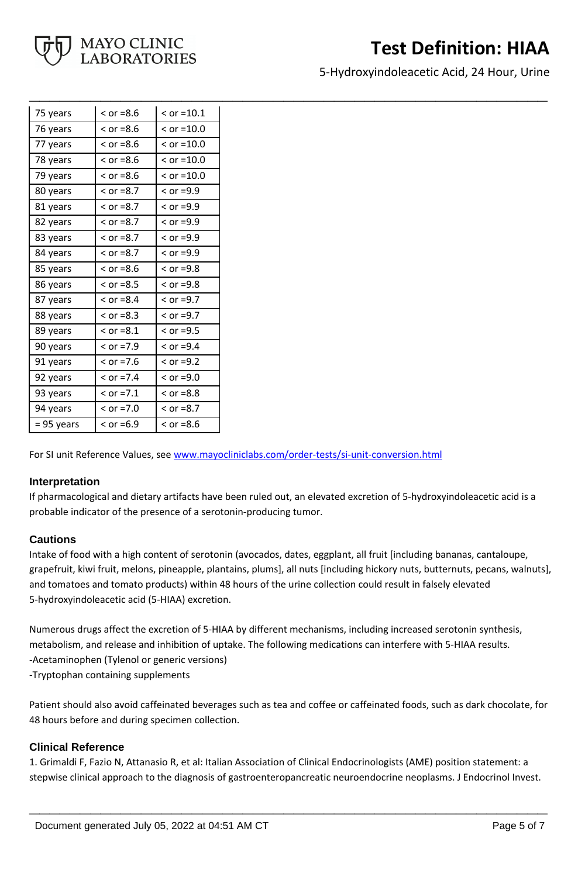

5-Hydroxyindoleacetic Acid, 24 Hour, Urine

| 75 years   | $<$ or =8.6 | $<$ or =10.1 |
|------------|-------------|--------------|
| 76 years   | $>$ or =8.6 | $<$ or =10.0 |
| 77 years   | $>$ or =8.6 | $<$ or =10.0 |
| 78 years   | $>$ or =8.6 | $<$ or =10.0 |
| 79 years   | $<$ or =8.6 | $<$ or =10.0 |
| 80 years   | $>$ or =8.7 | $<$ or =9.9  |
| 81 years   | $<$ or =8.7 | $<$ or =9.9  |
| 82 years   | $<$ or =8.7 | $>$ or =9.9  |
| 83 years   | $<$ or =8.7 | $>$ or =9.9  |
| 84 years   | $>$ or =8.7 | $<$ or =9.9  |
| 85 years   | $>$ or =8.6 | $>$ or =9.8  |
| 86 years   | $>$ or =8.5 | $>$ or =9.8  |
| 87 years   | $<$ or =8.4 | $<$ or =9.7  |
| 88 years   | $>$ or =8.3 | $>$ or =9.7  |
| 89 years   | $>$ or =8.1 | $>$ or =9.5  |
| 90 years   | $<$ or =7.9 | $>$ or =9.4  |
| 91 years   | $>$ or =7.6 | $>$ or =9.2  |
| 92 years   | $>$ or =7.4 | $<$ or =9.0  |
| 93 years   | $<$ or =7.1 | $>$ or =8.8  |
| 94 years   | $>$ or =7.0 | $<$ or =8.7  |
| = 95 years | $>$ or =6.9 | $<$ or =8.6  |

For SI unit Reference Values, see [www.mayocliniclabs.com/order-tests/si-unit-conversion.html](https://www.mayocliniclabs.com/order-tests/si-unit-conversion.html)

#### **Interpretation**

If pharmacological and dietary artifacts have been ruled out, an elevated excretion of 5-hydroxyindoleacetic acid is a probable indicator of the presence of a serotonin-producing tumor.

**\_\_\_\_\_\_\_\_\_\_\_\_\_\_\_\_\_\_\_\_\_\_\_\_\_\_\_\_\_\_\_\_\_\_\_\_\_\_\_\_\_\_\_\_\_\_\_\_\_\_\_**

#### **Cautions**

Intake of food with a high content of serotonin (avocados, dates, eggplant, all fruit [including bananas, cantaloupe, grapefruit, kiwi fruit, melons, pineapple, plantains, plums], all nuts [including hickory nuts, butternuts, pecans, walnuts], and tomatoes and tomato products) within 48 hours of the urine collection could result in falsely elevated 5-hydroxyindoleacetic acid (5-HIAA) excretion.

Numerous drugs affect the excretion of 5-HIAA by different mechanisms, including increased serotonin synthesis, metabolism, and release and inhibition of uptake. The following medications can interfere with 5-HIAA results. -Acetaminophen (Tylenol or generic versions)

-Tryptophan containing supplements

Patient should also avoid caffeinated beverages such as tea and coffee or caffeinated foods, such as dark chocolate, for 48 hours before and during specimen collection.

## **Clinical Reference**

1. Grimaldi F, Fazio N, Attanasio R, et al: Italian Association of Clinical Endocrinologists (AME) position statement: a stepwise clinical approach to the diagnosis of gastroenteropancreatic neuroendocrine neoplasms. J Endocrinol Invest.

**\_\_\_\_\_\_\_\_\_\_\_\_\_\_\_\_\_\_\_\_\_\_\_\_\_\_\_\_\_\_\_\_\_\_\_\_\_\_\_\_\_\_\_\_\_\_\_\_\_\_\_**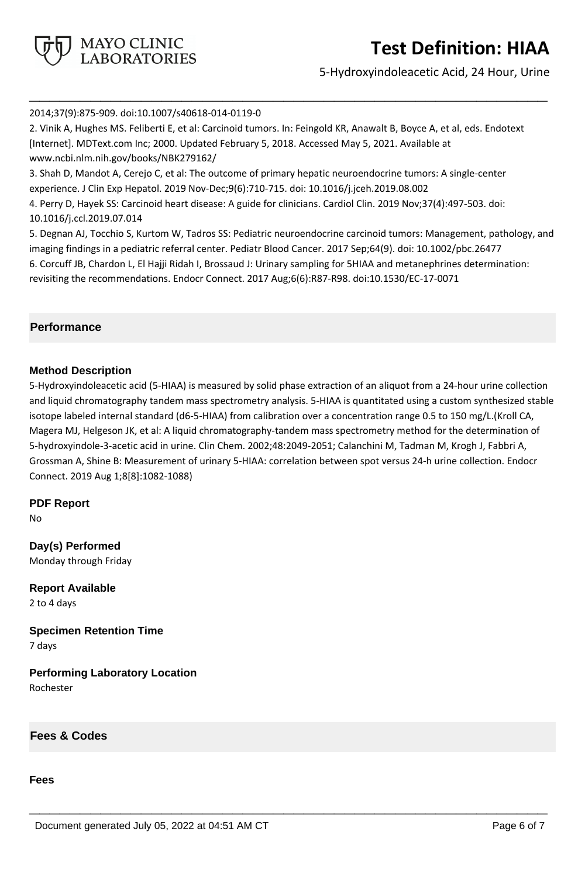

5-Hydroxyindoleacetic Acid, 24 Hour, Urine

#### 2014;37(9):875-909. doi:10.1007/s40618-014-0119-0

2. Vinik A, Hughes MS. Feliberti E, et al: Carcinoid tumors. In: Feingold KR, Anawalt B, Boyce A, et al, eds. Endotext [Internet]. MDText.com Inc; 2000. Updated February 5, 2018. Accessed May 5, 2021. Available at www.ncbi.nlm.nih.gov/books/NBK279162/ 3. Shah D, Mandot A, Cerejo C, et al: The outcome of primary hepatic neuroendocrine tumors: A single-center experience. J Clin Exp Hepatol. 2019 Nov-Dec;9(6):710-715. doi: 10.1016/j.jceh.2019.08.002 4. Perry D, Hayek SS: Carcinoid heart disease: A guide for clinicians. Cardiol Clin. 2019 Nov;37(4):497-503. doi: 10.1016/j.ccl.2019.07.014 5. Degnan AJ, Tocchio S, Kurtom W, Tadros SS: Pediatric neuroendocrine carcinoid tumors: Management, pathology, and

**\_\_\_\_\_\_\_\_\_\_\_\_\_\_\_\_\_\_\_\_\_\_\_\_\_\_\_\_\_\_\_\_\_\_\_\_\_\_\_\_\_\_\_\_\_\_\_\_\_\_\_**

imaging findings in a pediatric referral center. Pediatr Blood Cancer. 2017 Sep;64(9). doi: 10.1002/pbc.26477 6. Corcuff JB, Chardon L, El Hajji Ridah I, Brossaud J: Urinary sampling for 5HIAA and metanephrines determination: revisiting the recommendations. Endocr Connect. 2017 Aug;6(6):R87-R98. doi:10.1530/EC-17-0071

## **Performance**

## **Method Description**

5-Hydroxyindoleacetic acid (5-HIAA) is measured by solid phase extraction of an aliquot from a 24-hour urine collection and liquid chromatography tandem mass spectrometry analysis. 5-HIAA is quantitated using a custom synthesized stable isotope labeled internal standard (d6-5-HIAA) from calibration over a concentration range 0.5 to 150 mg/L.(Kroll CA, Magera MJ, Helgeson JK, et al: A liquid chromatography-tandem mass spectrometry method for the determination of 5-hydroxyindole-3-acetic acid in urine. Clin Chem. 2002;48:2049-2051; Calanchini M, Tadman M, Krogh J, Fabbri A, Grossman A, Shine B: Measurement of urinary 5-HIAA: correlation between spot versus 24-h urine collection. Endocr Connect. 2019 Aug 1;8[8]:1082-1088)

**\_\_\_\_\_\_\_\_\_\_\_\_\_\_\_\_\_\_\_\_\_\_\_\_\_\_\_\_\_\_\_\_\_\_\_\_\_\_\_\_\_\_\_\_\_\_\_\_\_\_\_**

#### **PDF Report**

No

**Day(s) Performed** Monday through Friday

**Report Available** 2 to 4 days

**Specimen Retention Time** 7 days

**Performing Laboratory Location** Rochester

**Fees & Codes**

#### **Fees**